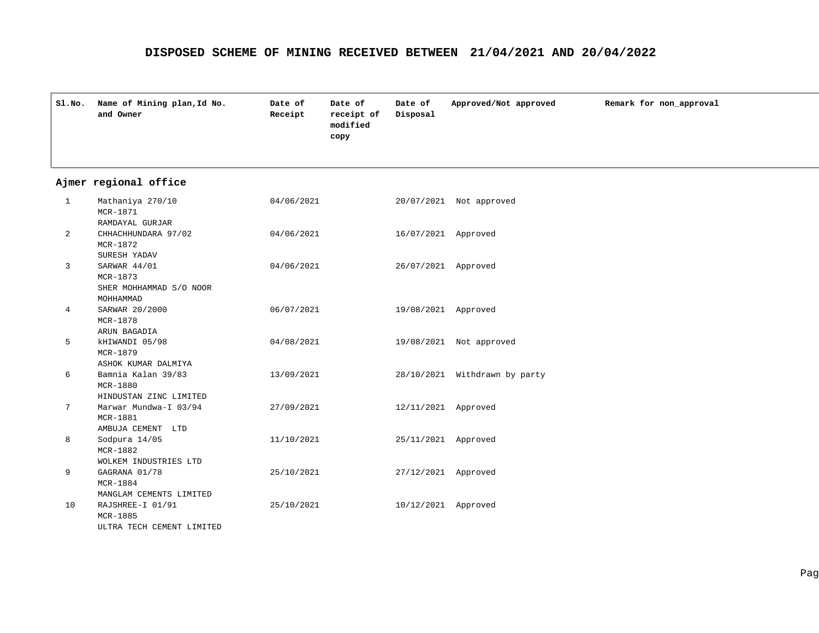|              | Sl.No. Name of Mining plan, Id No.<br>and Owner                  | Date of<br>Receipt | Date of<br>receipt of<br>modified<br>copy | Date of<br>Disposal | Approved/Not approved         | Remark for non_approval |
|--------------|------------------------------------------------------------------|--------------------|-------------------------------------------|---------------------|-------------------------------|-------------------------|
|              | Ajmer regional office                                            |                    |                                           |                     |                               |                         |
| $\mathbf{1}$ | Mathaniya 270/10<br>MCR-1871<br>RAMDAYAL GURJAR                  | 04/06/2021         |                                           |                     | 20/07/2021 Not approved       |                         |
| 2            | CHHACHHUNDARA 97/02<br>MCR-1872<br>SURESH YADAV                  | 04/06/2021         |                                           | 16/07/2021 Approved |                               |                         |
| 3            | SARWAR 44/01<br>MCR-1873<br>SHER MOHHAMMAD S/O NOOR<br>MOHHAMMAD | 04/06/2021         |                                           | 26/07/2021 Approved |                               |                         |
| 4            | SARWAR 20/2000<br>MCR-1878<br>ARUN BAGADIA                       | 06/07/2021         |                                           | 19/08/2021 Approved |                               |                         |
| 5            | kHIWANDI 05/98<br>MCR-1879<br>ASHOK KUMAR DALMIYA                | 04/08/2021         |                                           |                     | 19/08/2021 Not approved       |                         |
| 6            | Bamnia Kalan 39/83<br>MCR-1880<br>HINDUSTAN ZINC LIMITED         | 13/09/2021         |                                           |                     | 28/10/2021 Withdrawn by party |                         |
| 7            | Marwar Mundwa-I 03/94<br>MCR-1881<br>AMBUJA CEMENT LTD           | 27/09/2021         |                                           | 12/11/2021 Approved |                               |                         |
| 8            | Sodpura 14/05<br>MCR-1882<br>WOLKEM INDUSTRIES LTD               | 11/10/2021         |                                           | 25/11/2021 Approved |                               |                         |
| 9            | GAGRANA 01/78<br>MCR-1884<br>MANGLAM CEMENTS LIMITED             | 25/10/2021         |                                           | 27/12/2021 Approved |                               |                         |
| 10           | RAJSHREE-I 01/91<br>MCR-1885<br>ULTRA TECH CEMENT LIMITED        | 25/10/2021         |                                           | 10/12/2021 Approved |                               |                         |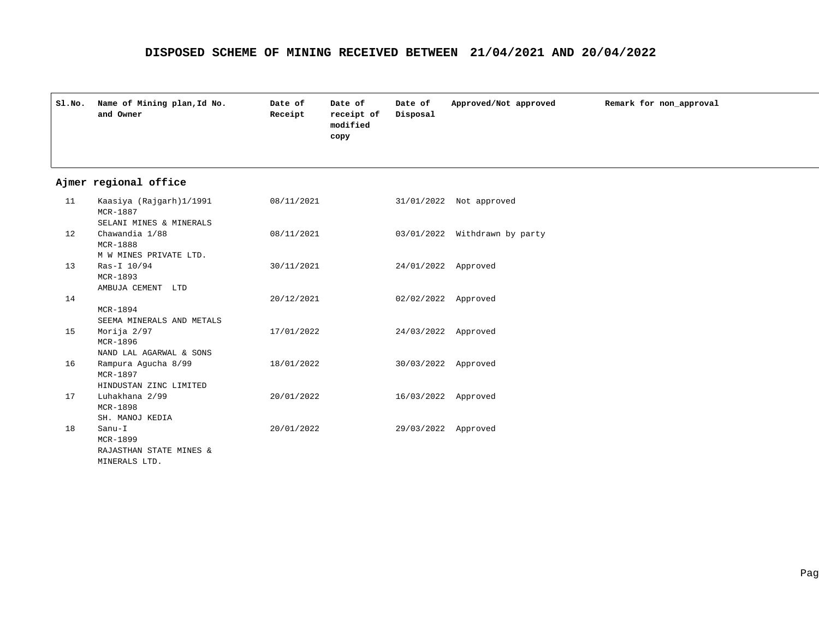| SLNO. | Name of Mining plan, Id No.<br>and Owner                       | Date of<br>Receipt | Date of<br>receipt of<br>modified<br>copy | Date of<br>Disposal | Approved/Not approved         | Remark for non_approval |
|-------|----------------------------------------------------------------|--------------------|-------------------------------------------|---------------------|-------------------------------|-------------------------|
|       | Ajmer regional office                                          |                    |                                           |                     |                               |                         |
| 11    | Kaasiya (Rajgarh)1/1991<br>MCR-1887<br>SELANI MINES & MINERALS | 08/11/2021         |                                           |                     | 31/01/2022 Not approved       |                         |
| 12    | Chawandia 1/88<br>MCR-1888<br>M W MINES PRIVATE LTD.           | 08/11/2021         |                                           |                     | 03/01/2022 Withdrawn by party |                         |
| 13    | Ras-I 10/94<br>MCR-1893<br>AMBUJA CEMENT LTD                   | 30/11/2021         |                                           | 24/01/2022 Approved |                               |                         |
| 14    | MCR-1894<br>SEEMA MINERALS AND METALS                          | 20/12/2021         |                                           | 02/02/2022 Approved |                               |                         |
| 15    | Morija 2/97<br>MCR-1896<br>NAND LAL AGARWAL & SONS             | 17/01/2022         |                                           | 24/03/2022 Approved |                               |                         |
| 16    | Rampura Agucha 8/99<br>MCR-1897<br>HINDUSTAN ZINC LIMITED      | 18/01/2022         |                                           | 30/03/2022 Approved |                               |                         |
| 17    | Luhakhana 2/99<br>MCR-1898<br>SH. MANOJ KEDIA                  | 20/01/2022         |                                           | 16/03/2022 Approved |                               |                         |
| 18    | Sanu-I<br>MCR-1899<br>RAJASTHAN STATE MINES &<br>MINERALS LTD. | 20/01/2022         |                                           | 29/03/2022 Approved |                               |                         |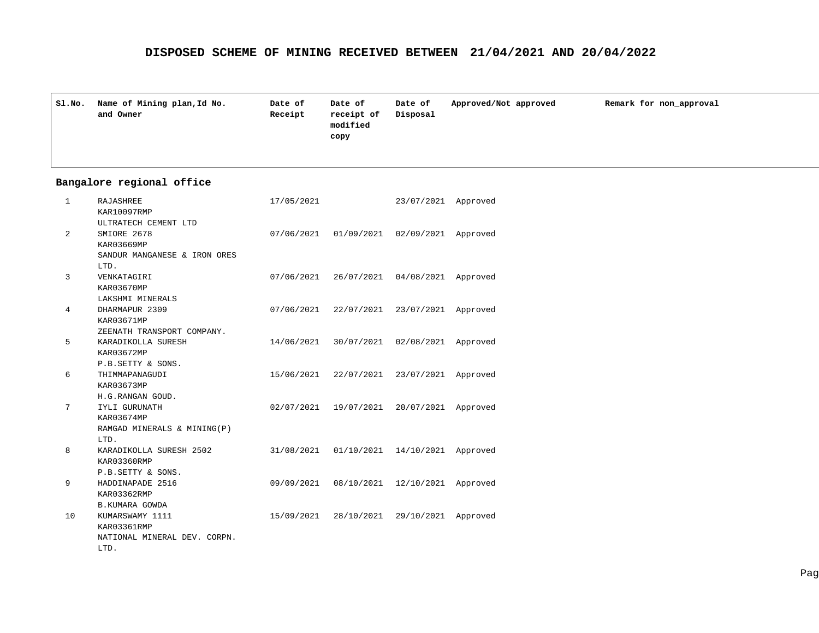| Sl.No. | Name of Mining plan, Id No.<br>and Owner | Date of<br>Receipt | Date of<br>receipt of<br>modified<br>copy | Date of<br>Disposal | Approved/Not approved | Remark for non_approval |
|--------|------------------------------------------|--------------------|-------------------------------------------|---------------------|-----------------------|-------------------------|
|        |                                          |                    |                                           |                     |                       |                         |

| 1  | RAJASHREE                    | 17/05/2021 |                                    | 23/07/2021            | Approved |
|----|------------------------------|------------|------------------------------------|-----------------------|----------|
|    | KAR10097RMP                  |            |                                    |                       |          |
|    | ULTRATECH CEMENT LTD         |            |                                    |                       |          |
| 2  | SMIORE 2678                  |            | 07/06/2021 01/09/2021 02/09/2021   |                       | Approved |
|    | KAR03669MP                   |            |                                    |                       |          |
|    | SANDUR MANGANESE & IRON ORES |            |                                    |                       |          |
|    | LTD.                         |            |                                    |                       |          |
| 3  | VENKATAGIRI                  | 07/06/2021 |                                    | 26/07/2021 04/08/2021 | Approved |
|    | KAR03670MP                   |            |                                    |                       |          |
|    | LAKSHMI MINERALS             |            |                                    |                       |          |
| 4  | DHARMAPUR 2309               | 07/06/2021 | 22/07/2021                         | 23/07/2021            | Approved |
|    | KAR03671MP                   |            |                                    |                       |          |
|    | ZEENATH TRANSPORT COMPANY.   |            |                                    |                       |          |
| 5  | KARADIKOLLA SURESH           | 14/06/2021 | 30/07/2021                         | 02/08/2021            | Approved |
|    | KAR03672MP                   |            |                                    |                       |          |
|    | P.B.SETTY & SONS.            |            |                                    |                       |          |
| 6  | THIMMAPANAGUDI               |            | 15/06/2021 22/07/2021              | 23/07/2021            | Approved |
|    | KAR03673MP                   |            |                                    |                       |          |
|    | H.G.RANGAN GOUD.             |            |                                    |                       |          |
| 7  | IYLI GURUNATH                | 02/07/2021 | 19/07/2021                         | 20/07/2021            | Approved |
|    | KAR03674MP                   |            |                                    |                       |          |
|    | RAMGAD MINERALS & MINING(P)  |            |                                    |                       |          |
|    | LTD.                         |            |                                    |                       |          |
| 8  | KARADIKOLLA SURESH 2502      |            | 31/08/2021  01/10/2021  14/10/2021 |                       | Approved |
|    | KAR03360RMP                  |            |                                    |                       |          |
|    | P.B.SETTY & SONS.            |            |                                    |                       |          |
| 9  | HADDINAPADE 2516             | 09/09/2021 | 08/10/2021                         | 12/10/2021            | Approved |
|    | KAR03362RMP                  |            |                                    |                       |          |
|    | <b>B.KUMARA GOWDA</b>        |            |                                    |                       |          |
| 10 | KUMARSWAMY 1111              | 15/09/2021 | 28/10/2021                         | 29/10/2021            | Approved |
|    | KAR03361RMP                  |            |                                    |                       |          |
|    | NATIONAL MINERAL DEV. CORPN. |            |                                    |                       |          |
|    | LTD.                         |            |                                    |                       |          |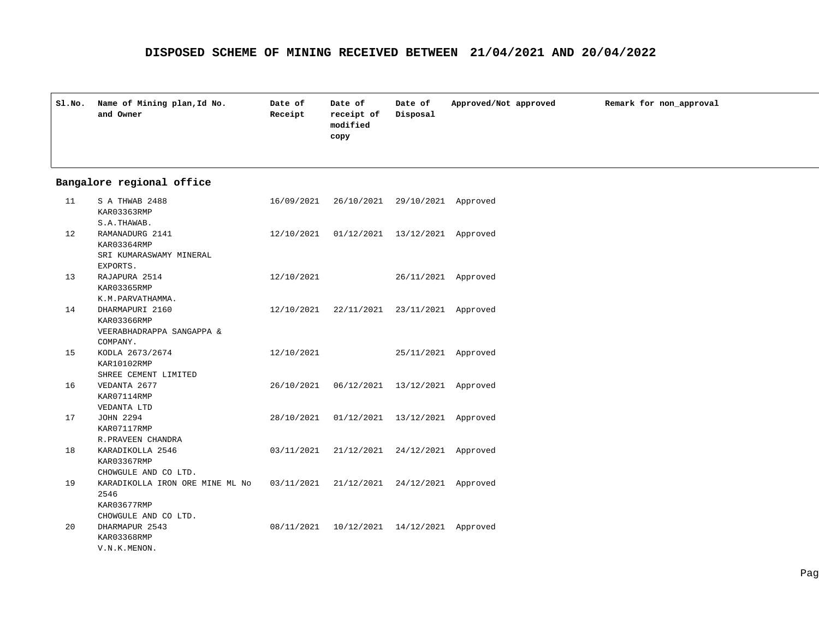| SI.NO. | Name of Mining plan, Id No.<br>and Owner | Date of<br>Receipt | Date of<br>receipt of<br>modified<br>copy | Date of<br>Disposal | Approved/Not approved | Remark for non approval |
|--------|------------------------------------------|--------------------|-------------------------------------------|---------------------|-----------------------|-------------------------|
|        |                                          |                    |                                           |                     |                       |                         |

| 11 | S A THWAB 2488                  | 16/09/2021 |                                           | 26/10/2021 29/10/2021 Approved |          |
|----|---------------------------------|------------|-------------------------------------------|--------------------------------|----------|
|    | KAR03363RMP                     |            |                                           |                                |          |
|    | S.A.THAWAB.                     |            |                                           |                                |          |
| 12 | RAMANADURG 2141                 | 12/10/2021 |                                           | 01/12/2021 13/12/2021 Approved |          |
|    | KAR03364RMP                     |            |                                           |                                |          |
|    | SRI KUMARASWAMY MINERAL         |            |                                           |                                |          |
|    | EXPORTS.                        |            |                                           |                                |          |
| 13 | RAJAPURA 2514                   | 12/10/2021 |                                           | 26/11/2021 Approved            |          |
|    | KAR03365RMP                     |            |                                           |                                |          |
|    | K.M.PARVATHAMMA.                |            |                                           |                                |          |
| 14 | DHARMAPURI 2160                 |            | 12/10/2021 22/11/2021 23/11/2021 Approved |                                |          |
|    | KAR03366RMP                     |            |                                           |                                |          |
|    | VEERABHADRAPPA SANGAPPA &       |            |                                           |                                |          |
|    | COMPANY.                        |            |                                           |                                |          |
| 15 | KODLA 2673/2674                 | 12/10/2021 |                                           | 25/11/2021 Approved            |          |
|    | KAR10102RMP                     |            |                                           |                                |          |
|    | SHREE CEMENT LIMITED            |            |                                           |                                |          |
| 16 | VEDANTA 2677                    | 26/10/2021 | 06/12/2021                                | 13/12/2021 Approved            |          |
|    | KAR07114RMP                     |            |                                           |                                |          |
|    | VEDANTA LTD                     |            |                                           |                                |          |
| 17 | JOHN 2294                       | 28/10/2021 |                                           | 01/12/2021 13/12/2021          | Approved |
|    | KAR07117RMP                     |            |                                           |                                |          |
|    | R. PRAVEEN CHANDRA              |            |                                           |                                |          |
| 18 | KARADIKOLLA 2546                | 03/11/2021 |                                           | 21/12/2021 24/12/2021 Approved |          |
|    | KAR03367RMP                     |            |                                           |                                |          |
|    | CHOWGULE AND CO LTD.            |            |                                           |                                |          |
| 19 | KARADIKOLLA IRON ORE MINE ML NO | 03/11/2021 |                                           | 21/12/2021 24/12/2021 Approved |          |
|    | 2546                            |            |                                           |                                |          |
|    | KAR03677RMP                     |            |                                           |                                |          |
|    | CHOWGULE AND CO LTD.            |            |                                           |                                |          |
| 20 | DHARMAPUR 2543                  | 08/11/2021 |                                           | 10/12/2021 14/12/2021          | Approved |
|    | KAR03368RMP                     |            |                                           |                                |          |
|    | V.N.K.MENON.                    |            |                                           |                                |          |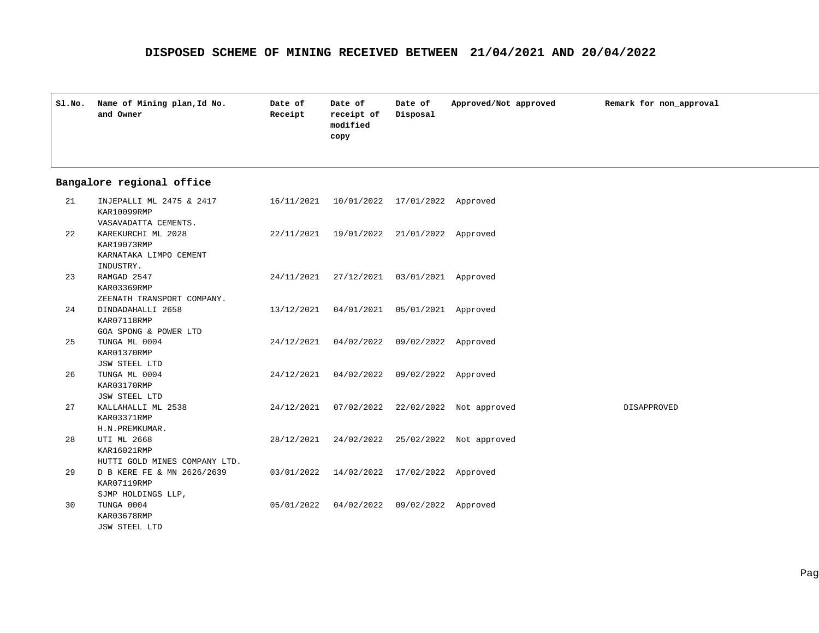| Sl.No. | Name of Mining plan, Id No.<br>and Owner | Date of<br>Receipt | Date of<br>receipt of<br>modified<br>copy | Date of<br>Disposal | Approved/Not approved | Remark for non approval |
|--------|------------------------------------------|--------------------|-------------------------------------------|---------------------|-----------------------|-------------------------|
|        |                                          |                    |                                           |                     |                       |                         |

| 21 | INJEPALLI ML 2475 & 2417<br>KAR10099RMP                              |                                              | 16/11/2021  10/01/2022  17/01/2022  Approved |                                               |             |
|----|----------------------------------------------------------------------|----------------------------------------------|----------------------------------------------|-----------------------------------------------|-------------|
|    | VASAVADATTA CEMENTS.                                                 |                                              |                                              |                                               |             |
| 22 | KAREKURCHI ML 2028                                                   | 22/11/2021 19/01/2022 21/01/2022 Approved    |                                              |                                               |             |
|    | KAR19073RMP                                                          |                                              |                                              |                                               |             |
|    | KARNATAKA LIMPO CEMENT                                               |                                              |                                              |                                               |             |
|    | INDUSTRY.                                                            |                                              |                                              |                                               |             |
| 23 | RAMGAD 2547                                                          |                                              | 24/11/2021 27/12/2021 03/01/2021 Approved    |                                               |             |
|    | KAR03369RMP                                                          |                                              |                                              |                                               |             |
|    | ZEENATH TRANSPORT COMPANY.                                           |                                              |                                              |                                               |             |
| 24 | DINDADAHALLI 2658                                                    | 13/12/2021  04/01/2021  05/01/2021  Approved |                                              |                                               |             |
|    | KAR07118RMP                                                          |                                              |                                              |                                               |             |
|    | GOA SPONG & POWER LTD                                                |                                              |                                              |                                               |             |
| 25 | TUNGA ML 0004                                                        |                                              | 24/12/2021 04/02/2022 09/02/2022 Approved    |                                               |             |
|    | KAR01370RMP                                                          |                                              |                                              |                                               |             |
|    | JSW STEEL LTD                                                        |                                              |                                              |                                               |             |
| 26 | TUNGA ML 0004                                                        |                                              | 24/12/2021 04/02/2022 09/02/2022 Approved    |                                               |             |
|    | KAR03170RMP                                                          |                                              |                                              |                                               |             |
|    | JSW STEEL LTD                                                        |                                              |                                              |                                               |             |
| 27 | KALLAHALLI ML 2538                                                   |                                              |                                              | 24/12/2021 07/02/2022 22/02/2022 Not approved | DISAPPROVED |
|    | KAR03371RMP                                                          |                                              |                                              |                                               |             |
|    | H.N.PREMKUMAR.                                                       |                                              |                                              |                                               |             |
| 28 | UTI ML 2668                                                          |                                              |                                              | 28/12/2021 24/02/2022 25/02/2022 Not approved |             |
|    | KAR16021RMP                                                          |                                              |                                              |                                               |             |
|    | HUTTI GOLD MINES COMPANY LTD.                                        |                                              |                                              |                                               |             |
| 29 | D B KERE FE & MN 2626/2639 03/01/2022 14/02/2022 17/02/2022 Approved |                                              |                                              |                                               |             |
|    | KAR07119RMP                                                          |                                              |                                              |                                               |             |
|    | SJMP HOLDINGS LLP,                                                   |                                              |                                              |                                               |             |
| 30 | TUNGA 0004                                                           |                                              | 05/01/2022 04/02/2022 09/02/2022 Approved    |                                               |             |
|    | KAR03678RMP                                                          |                                              |                                              |                                               |             |
|    | JSW STEEL LTD                                                        |                                              |                                              |                                               |             |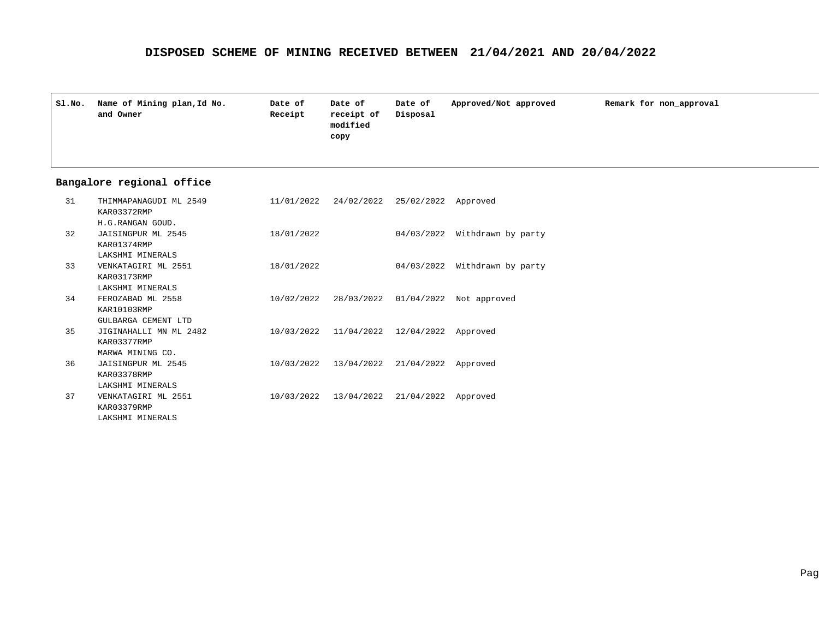| SI.NO. | Name of Mining plan, Id No.<br>and Owner | Date of<br>Receipt | Date of<br>receipt of<br>modified<br>copy | Date of<br>Disposal | Approved/Not approved | Remark for non approval |
|--------|------------------------------------------|--------------------|-------------------------------------------|---------------------|-----------------------|-------------------------|
|        |                                          |                    |                                           |                     |                       |                         |

| 31 | THIMMAPANAGUDI ML 2549<br>KAR03372RMP                  |            | 11/01/2022 24/02/2022 25/02/2022 Approved |                                |                                               |
|----|--------------------------------------------------------|------------|-------------------------------------------|--------------------------------|-----------------------------------------------|
| 32 | H.G.RANGAN GOUD.<br>JAISINGPUR ML 2545<br>KAR01374RMP  | 18/01/2022 |                                           |                                | 04/03/2022 Withdrawn by party                 |
| 33 | LAKSHMI MINERALS<br>VENKATAGIRI ML 2551<br>KAR03173RMP | 18/01/2022 |                                           | 04/03/2022                     | Withdrawn by party                            |
| 34 | LAKSHMI MINERALS<br>FEROZABAD ML 2558                  |            |                                           |                                | 10/02/2022 28/03/2022 01/04/2022 Not approved |
|    | KAR10103RMP<br>GULBARGA CEMENT LTD                     |            |                                           |                                |                                               |
| 35 | JIGINAHALLI MN ML 2482<br>KAR03377RMP                  | 10/03/2022 |                                           | 11/04/2022 12/04/2022 Approved |                                               |
| 36 | MARWA MINING CO.<br>JAISINGPUR ML 2545                 | 10/03/2022 | 13/04/2022                                | 21/04/2022 Approved            |                                               |
|    | KAR03378RMP<br>LAKSHMI MINERALS                        |            |                                           |                                |                                               |
| 37 | VENKATAGIRI ML 2551<br>KAR03379RMP                     | 10/03/2022 |                                           | 13/04/2022 21/04/2022 Approved |                                               |
|    | LAKSHMI MINERALS                                       |            |                                           |                                |                                               |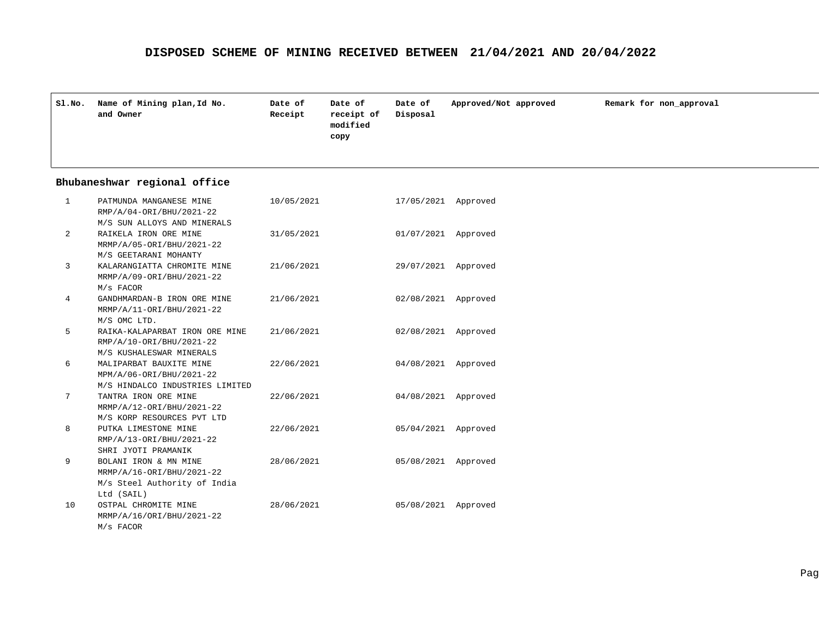| SLNO. | Name of Mining plan, Id No.<br>and Owner | Date of<br>Receipt | Date of<br>receipt of<br>modified<br>copy | Date of<br>Disposal | Approved/Not approved | Remark for non_approval |
|-------|------------------------------------------|--------------------|-------------------------------------------|---------------------|-----------------------|-------------------------|
|       |                                          |                    |                                           |                     |                       |                         |

#### **Bhubaneshwar regional office**

| $\mathbf{1}$   | PATMUNDA MANGANESE MINE<br>RMP/A/04-ORI/BHU/2021-22 | 10/05/2021 | 17/05/2021          | Approved |
|----------------|-----------------------------------------------------|------------|---------------------|----------|
|                | M/S SUN ALLOYS AND MINERALS                         |            |                     |          |
| $\overline{2}$ | RAIKELA IRON ORE MINE                               | 31/05/2021 | 01/07/2021          | Approved |
|                | MRMP/A/05-ORI/BHU/2021-22                           |            |                     |          |
|                | M/S GEETARANI MOHANTY                               |            |                     |          |
| 3              | KALARANGIATTA CHROMITE MINE                         | 21/06/2021 | 29/07/2021 Approved |          |
|                | MRMP/A/09-ORI/BHU/2021-22                           |            |                     |          |
|                | M/s FACOR                                           |            |                     |          |
| 4              | GANDHMARDAN-B IRON ORE MINE                         | 21/06/2021 | 02/08/2021 Approved |          |
|                | MRMP/A/11-ORI/BHU/2021-22                           |            |                     |          |
|                | M/S OMC LTD.                                        |            |                     |          |
| 5              | RAIKA-KALAPARBAT IRON ORE MINE                      | 21/06/2021 | 02/08/2021          | Approved |
|                | RMP/A/10-ORI/BHU/2021-22                            |            |                     |          |
|                | M/S KUSHALESWAR MINERALS                            |            |                     |          |
| 6              | MALIPARBAT BAUXITE MINE                             | 22/06/2021 | 04/08/2021 Approved |          |
|                | MPM/A/06-ORI/BHU/2021-22                            |            |                     |          |
|                | M/S HINDALCO INDUSTRIES LIMITED                     |            |                     |          |
| 7              | TANTRA IRON ORE MINE                                | 22/06/2021 | 04/08/2021 Approved |          |
|                | MRMP/A/12-ORI/BHU/2021-22                           |            |                     |          |
|                | M/S KORP RESOURCES PVT LTD                          |            |                     |          |
| 8              | PUTKA LIMESTONE MINE                                | 22/06/2021 | 05/04/2021          | Approved |
|                | RMP/A/13-ORI/BHU/2021-22                            |            |                     |          |
|                | SHRI JYOTI PRAMANIK                                 |            |                     |          |
| 9              | BOLANI IRON & MN MINE                               | 28/06/2021 | 05/08/2021          | Approved |
|                | MRMP/A/16-ORI/BHU/2021-22                           |            |                     |          |
|                | M/s Steel Authority of India                        |            |                     |          |
|                | Ltd (SAIL)                                          |            |                     |          |
| 10             | OSTPAL CHROMITE MINE                                | 28/06/2021 | 05/08/2021          | Approved |
|                | MRMP/A/16/ORI/BHU/2021-22                           |            |                     |          |
|                | M/s FACOR                                           |            |                     |          |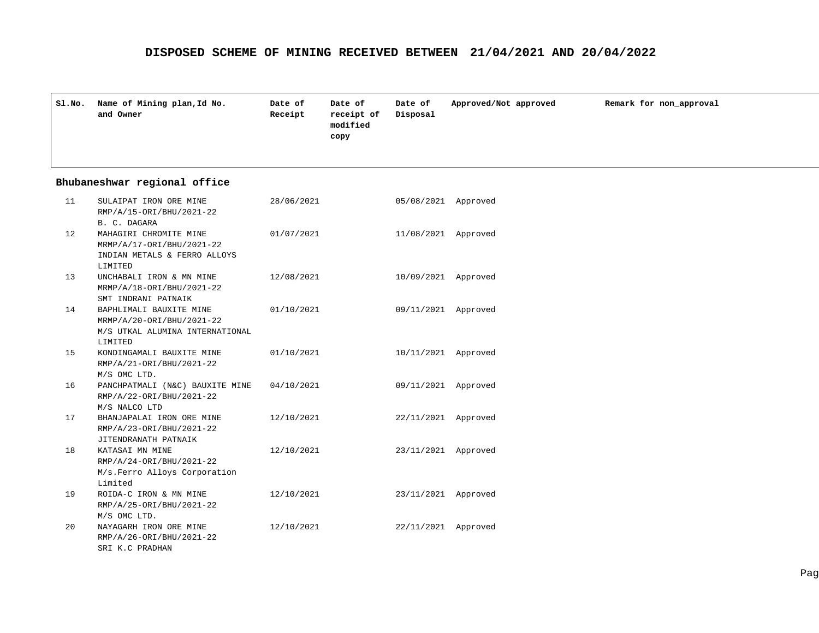| Sl.No. | Name of Mining plan, Id No.<br>and Owner | Date of<br>Receipt | Date of<br>receipt of<br>modified<br>copy | Date of<br>Disposal | Approved/Not approved | Remark for non_approval |
|--------|------------------------------------------|--------------------|-------------------------------------------|---------------------|-----------------------|-------------------------|
|        |                                          |                    |                                           |                     |                       |                         |

## **Bhubaneshwar regional office**

| 11  | SULAIPAT IRON ORE MINE<br>RMP/A/15-ORI/BHU/2021-22                                                             | 28/06/2021 | 05/08/2021 Approved |          |
|-----|----------------------------------------------------------------------------------------------------------------|------------|---------------------|----------|
| 12. | B. C. DAGARA<br>MAHAGIRI CHROMITE MINE<br>MRMP/A/17-ORI/BHU/2021-22<br>INDIAN METALS & FERRO ALLOYS<br>LIMITED | 01/07/2021 | 11/08/2021 Approved |          |
| 13  | UNCHABALI IRON & MN MINE<br>MRMP/A/18-ORI/BHU/2021-22<br>SMT INDRANI PATNAIK                                   | 12/08/2021 | 10/09/2021 Approved |          |
| 14  | BAPHLIMALI BAUXITE MINE<br>MRMP/A/20-ORI/BHU/2021-22<br>M/S UTKAL ALUMINA INTERNATIONAL<br>LIMITED             | 01/10/2021 | 09/11/2021 Approved |          |
| 15  | KONDINGAMALI BAUXITE MINE<br>RMP/A/21-ORI/BHU/2021-22<br>M/S OMC LTD.                                          | 01/10/2021 | 10/11/2021 Approved |          |
| 16  | PANCHPATMALI (N&C) BAUXITE MINE 04/10/2021<br>RMP/A/22-ORI/BHU/2021-22<br>M/S NALCO LTD                        |            | 09/11/2021 Approved |          |
| 17  | BHANJAPALAI IRON ORE MINE<br>RMP/A/23-ORI/BHU/2021-22<br>JITENDRANATH PATNAIK                                  | 12/10/2021 | 22/11/2021 Approved |          |
| 18  | KATASAI MN MINE<br>RMP/A/24-ORI/BHU/2021-22<br>M/s. Ferro Alloys Corporation<br>Limited                        | 12/10/2021 | 23/11/2021 Approved |          |
| 19  | ROIDA-C IRON & MN MINE<br>RMP/A/25-ORI/BHU/2021-22<br>M/S OMC LTD.                                             | 12/10/2021 | 23/11/2021          | Approved |
| 20  | NAYAGARH IRON ORE MINE<br>RMP/A/26-ORI/BHU/2021-22<br>SRI K.C PRADHAN                                          | 12/10/2021 | 22/11/2021          | Approved |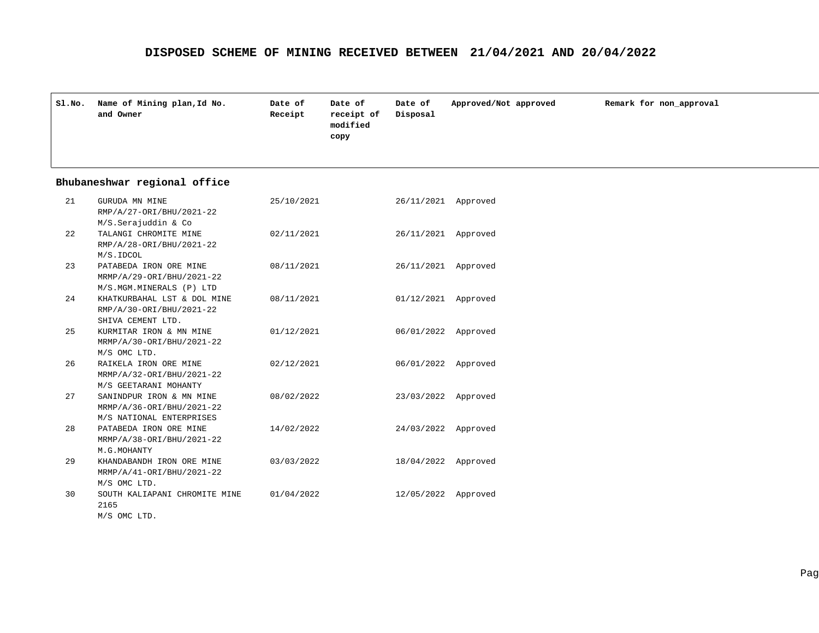| SI.NO. | Name of Mining plan, Id No.<br>and Owner | Date of<br>Receipt | Date of<br>receipt of<br>modified<br>copy | Date of<br>Disposal | Approved/Not approved | Remark for non approval |
|--------|------------------------------------------|--------------------|-------------------------------------------|---------------------|-----------------------|-------------------------|
|        |                                          |                    |                                           |                     |                       |                         |

## **Bhubaneshwar regional office**

| 21 | GURUDA MN MINE<br>RMP/A/27-ORI/BHU/2021-22            | 25/10/2021 | 26/11/2021          | Approved |
|----|-------------------------------------------------------|------------|---------------------|----------|
|    | M/S.Serajuddin & Co                                   |            |                     |          |
| 22 | TALANGI CHROMITE MINE                                 | 02/11/2021 | 26/11/2021 Approved |          |
|    | RMP/A/28-ORI/BHU/2021-22                              |            |                     |          |
|    | M/S.IDCOL                                             |            |                     |          |
| 23 | PATABEDA IRON ORE MINE                                | 08/11/2021 | 26/11/2021          | Approved |
|    | MRMP/A/29-ORI/BHU/2021-22                             |            |                     |          |
|    | M/S.MGM.MINERALS (P) LTD                              |            |                     |          |
| 24 | KHATKURBAHAL LST & DOL MINE                           | 08/11/2021 | 01/12/2021 Approved |          |
|    | RMP/A/30-ORI/BHU/2021-22                              |            |                     |          |
|    | SHIVA CEMENT LTD.                                     |            |                     |          |
| 25 | KURMITAR IRON & MN MINE                               | 01/12/2021 | 06/01/2022 Approved |          |
|    | MRMP/A/30-ORI/BHU/2021-22                             |            |                     |          |
|    | M/S OMC LTD.                                          |            |                     |          |
| 26 | RAIKELA IRON ORE MINE                                 | 02/12/2021 | 06/01/2022 Approved |          |
|    | MRMP/A/32-ORI/BHU/2021-22                             |            |                     |          |
|    | M/S GEETARANI MOHANTY                                 |            |                     |          |
| 27 | SANINDPUR IRON & MN MINE                              | 08/02/2022 | 23/03/2022 Approved |          |
|    | MRMP/A/36-ORI/BHU/2021-22<br>M/S NATIONAL ENTERPRISES |            |                     |          |
| 28 | PATABEDA IRON ORE MINE                                | 14/02/2022 | 24/03/2022 Approved |          |
|    | MRMP/A/38-ORI/BHU/2021-22                             |            |                     |          |
|    | M.G.MOHANTY                                           |            |                     |          |
| 29 | KHANDABANDH IRON ORE MINE                             | 03/03/2022 | 18/04/2022 Approved |          |
|    | MRMP/A/41-ORI/BHU/2021-22                             |            |                     |          |
|    | M/S OMC LTD.                                          |            |                     |          |
| 30 | SOUTH KALIAPANI CHROMITE MINE                         | 01/04/2022 | 12/05/2022          | Approved |
|    | 2165                                                  |            |                     |          |
|    | M/S OMC LTD.                                          |            |                     |          |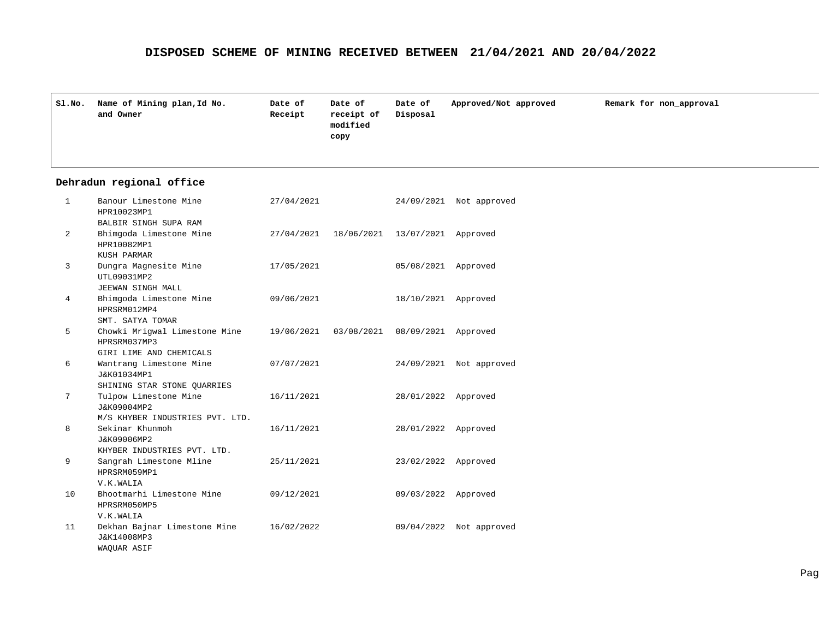| Sl.No. | Name of Mining plan, Id No.<br>and Owner | Date of<br>Receipt | Date of<br>receipt of<br>modified<br>copy | Date of<br>Disposal | Approved/Not approved | Remark for non_approval |
|--------|------------------------------------------|--------------------|-------------------------------------------|---------------------|-----------------------|-------------------------|
|        |                                          |                    |                                           |                     |                       |                         |

#### **Dehradun regional office**

| $\mathbf{1}$   | Banour Limestone Mine<br>HPR10023MP1                                    | 27/04/2021 |            |                     | 24/09/2021 Not approved |
|----------------|-------------------------------------------------------------------------|------------|------------|---------------------|-------------------------|
| $\overline{a}$ | BALBIR SINGH SUPA RAM<br>Bhimgoda Limestone Mine<br>HPR10082MP1         | 27/04/2021 | 18/06/2021 | 13/07/2021 Approved |                         |
| 3              | KUSH PARMAR<br>Dungra Magnesite Mine<br>UTL09031MP2                     | 17/05/2021 |            | 05/08/2021          | Approved                |
| 4              | JEEWAN SINGH MALL<br>Bhimgoda Limestone Mine<br>HPRSRM012MP4            | 09/06/2021 |            | 18/10/2021 Approved |                         |
| 5              | SMT. SATYA TOMAR<br>Chowki Mrigwal Limestone Mine<br>HPRSRM037MP3       | 19/06/2021 | 03/08/2021 | 08/09/2021          | Approved                |
| 6              | GIRI LIME AND CHEMICALS<br>Wantrang Limestone Mine<br>J&K01034MP1       | 07/07/2021 |            |                     | 24/09/2021 Not approved |
| 7              | SHINING STAR STONE QUARRIES<br>Tulpow Limestone Mine<br>J&K09004MP2     | 16/11/2021 |            | 28/01/2022 Approved |                         |
| 8              | M/S KHYBER INDUSTRIES PVT. LTD.<br>Sekinar Khunmoh<br>J&K09006MP2       | 16/11/2021 |            | 28/01/2022          | Approved                |
| 9              | KHYBER INDUSTRIES PVT. LTD.<br>Sangrah Limestone Mline<br>HPRSRM059MP1  | 25/11/2021 |            | 23/02/2022 Approved |                         |
| 10             | V.K.WALIA<br>Bhootmarhi Limestone Mine<br>HPRSRM050MP5                  | 09/12/2021 |            | 09/03/2022          | Approved                |
| 11             | V.K.WALIA<br>Dekhan Bajnar Limestone Mine<br>J&K14008MP3<br>WAQUAR ASIF | 16/02/2022 |            | 09/04/2022          | Not approved            |
|                |                                                                         |            |            |                     |                         |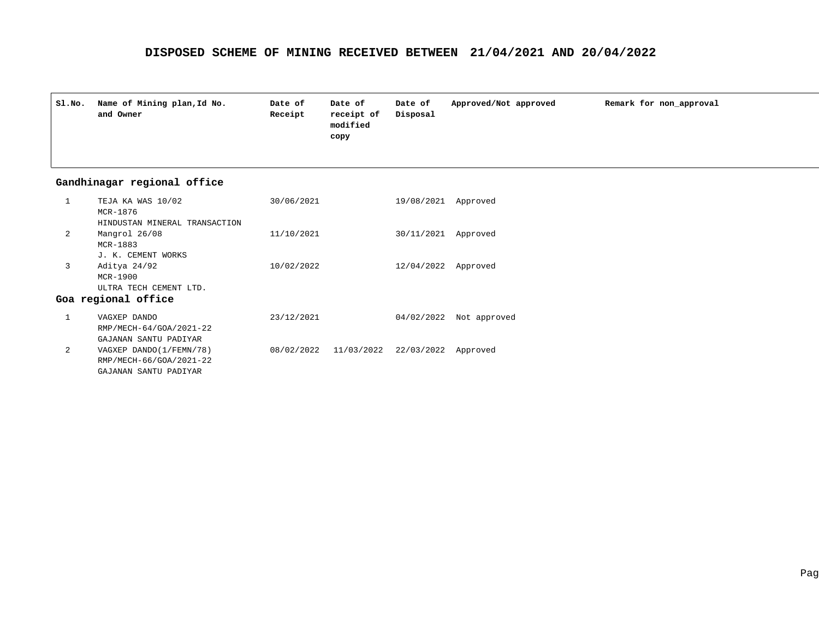| Sl.No. | Name of Mining plan, Id No.<br>and Owner | Date of<br>Receipt | Date of<br>receipt of<br>modified<br>copy | Date of<br>Disposal | Approved/Not approved | Remark for non_approval |
|--------|------------------------------------------|--------------------|-------------------------------------------|---------------------|-----------------------|-------------------------|
|        |                                          |                    |                                           |                     |                       |                         |

## **Gandhinagar regional office**

|                | TEJA KA WAS 10/02<br>MCR-1876 | 30/06/2021 |                                  | 19/08/2021 | Approved                |
|----------------|-------------------------------|------------|----------------------------------|------------|-------------------------|
|                | HINDUSTAN MINERAL TRANSACTION |            |                                  |            |                         |
| $\overline{2}$ | Mangrol 26/08                 | 11/10/2021 |                                  | 30/11/2021 | Approved                |
|                | $MCR-1883$                    |            |                                  |            |                         |
|                | J. K. CEMENT WORKS            |            |                                  |            |                         |
| 3              | Aditya 24/92                  | 10/02/2022 |                                  | 12/04/2022 | Approved                |
|                | $MCR-1900$                    |            |                                  |            |                         |
|                | ULTRA TECH CEMENT LTD.        |            |                                  |            |                         |
|                | Goa regional office           |            |                                  |            |                         |
|                | VAGXEP DANDO                  | 23/12/2021 |                                  |            | 04/02/2022 Not approved |
|                | RMP/MECH-64/GOA/2021-22       |            |                                  |            |                         |
|                | GAJANAN SANTU PADIYAR         |            |                                  |            |                         |
| 2              | VAGXEP DANDO(1/FEMN/78)       |            | 08/02/2022 11/03/2022 22/03/2022 |            | Approved                |
|                | RMP/MECH-66/GOA/2021-22       |            |                                  |            |                         |
|                | GAJANAN SANTU PADIYAR         |            |                                  |            |                         |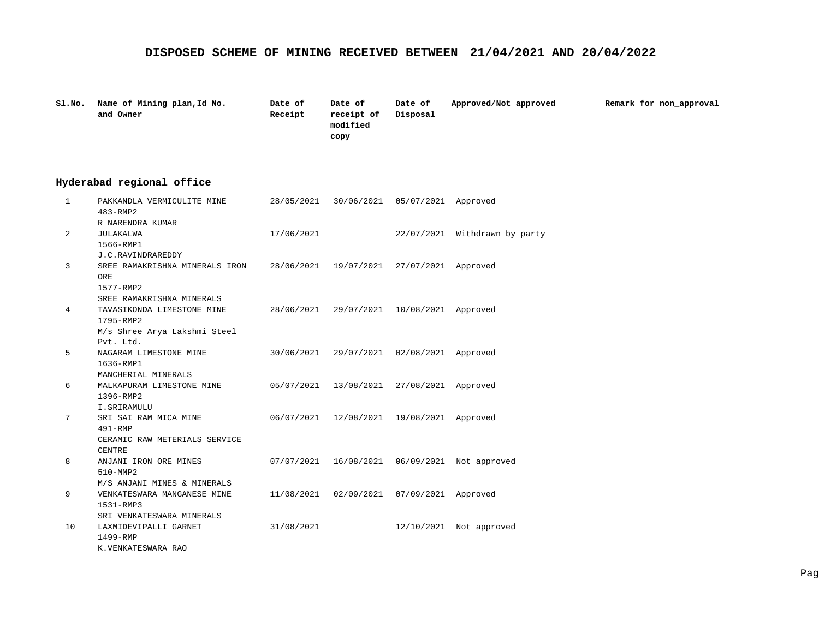| SLNO. | Name of Mining plan, Id No.<br>and Owner | Date of<br>Receipt | Date of<br>receipt of<br>modified<br>copy | Date of<br>Disposal | Approved/Not approved | Remark for non_approval |
|-------|------------------------------------------|--------------------|-------------------------------------------|---------------------|-----------------------|-------------------------|
|       |                                          |                    |                                           |                     |                       |                         |

| PAKKANDLA VERMICULITE MINE     |            |                                                                                                              |                                                                                                                                                                                                                                                                  |
|--------------------------------|------------|--------------------------------------------------------------------------------------------------------------|------------------------------------------------------------------------------------------------------------------------------------------------------------------------------------------------------------------------------------------------------------------|
| 483-RMP2                       |            |                                                                                                              |                                                                                                                                                                                                                                                                  |
| R NARENDRA KUMAR               |            |                                                                                                              |                                                                                                                                                                                                                                                                  |
| JULAKALWA                      | 17/06/2021 |                                                                                                              | 22/07/2021 Withdrawn by party                                                                                                                                                                                                                                    |
| 1566-RMP1                      |            |                                                                                                              |                                                                                                                                                                                                                                                                  |
| J.C.RAVINDRAREDDY              |            |                                                                                                              |                                                                                                                                                                                                                                                                  |
| SREE RAMAKRISHNA MINERALS IRON |            |                                                                                                              |                                                                                                                                                                                                                                                                  |
| ORE                            |            |                                                                                                              |                                                                                                                                                                                                                                                                  |
| 1577-RMP2                      |            |                                                                                                              |                                                                                                                                                                                                                                                                  |
| SREE RAMAKRISHNA MINERALS      |            |                                                                                                              |                                                                                                                                                                                                                                                                  |
| TAVASIKONDA LIMESTONE MINE     |            |                                                                                                              |                                                                                                                                                                                                                                                                  |
| 1795-RMP2                      |            |                                                                                                              |                                                                                                                                                                                                                                                                  |
| M/s Shree Arya Lakshmi Steel   |            |                                                                                                              |                                                                                                                                                                                                                                                                  |
| Pvt. Ltd.                      |            |                                                                                                              |                                                                                                                                                                                                                                                                  |
| NAGARAM LIMESTONE MINE         |            |                                                                                                              |                                                                                                                                                                                                                                                                  |
| 1636-RMP1                      |            |                                                                                                              |                                                                                                                                                                                                                                                                  |
| MANCHERIAL MINERALS            |            |                                                                                                              |                                                                                                                                                                                                                                                                  |
| MALKAPURAM LIMESTONE MINE      |            |                                                                                                              |                                                                                                                                                                                                                                                                  |
| 1396-RMP2                      |            |                                                                                                              |                                                                                                                                                                                                                                                                  |
| I.SRIRAMULU                    |            |                                                                                                              |                                                                                                                                                                                                                                                                  |
| SRI SAI RAM MICA MINE          |            |                                                                                                              |                                                                                                                                                                                                                                                                  |
| $491 - RMP$                    |            |                                                                                                              |                                                                                                                                                                                                                                                                  |
| CERAMIC RAW METERIALS SERVICE  |            |                                                                                                              |                                                                                                                                                                                                                                                                  |
| <b>CENTRE</b>                  |            |                                                                                                              |                                                                                                                                                                                                                                                                  |
| ANJANI IRON ORE MINES          |            |                                                                                                              |                                                                                                                                                                                                                                                                  |
| 510-MMP2                       |            |                                                                                                              |                                                                                                                                                                                                                                                                  |
| M/S ANJANI MINES & MINERALS    |            |                                                                                                              |                                                                                                                                                                                                                                                                  |
| VENKATESWARA MANGANESE MINE    |            | 07/09/2021 Approved                                                                                          |                                                                                                                                                                                                                                                                  |
| 1531-RMP3                      |            |                                                                                                              |                                                                                                                                                                                                                                                                  |
| SRI VENKATESWARA MINERALS      |            |                                                                                                              |                                                                                                                                                                                                                                                                  |
| LAXMIDEVIPALLI GARNET          | 31/08/2021 |                                                                                                              | 12/10/2021 Not approved                                                                                                                                                                                                                                          |
| 1499-RMP                       |            |                                                                                                              |                                                                                                                                                                                                                                                                  |
| K.VENKATESWARA RAO             |            |                                                                                                              |                                                                                                                                                                                                                                                                  |
|                                |            | 28/05/2021<br>28/06/2021<br>28/06/2021<br>30/06/2021<br>05/07/2021<br>06/07/2021<br>07/07/2021<br>11/08/2021 | 30/06/2021 05/07/2021 Approved<br>19/07/2021 27/07/2021 Approved<br>29/07/2021 10/08/2021 Approved<br>29/07/2021 02/08/2021 Approved<br>13/08/2021 27/08/2021 Approved<br>12/08/2021  19/08/2021  Approved<br>16/08/2021  06/09/2021  Not approved<br>02/09/2021 |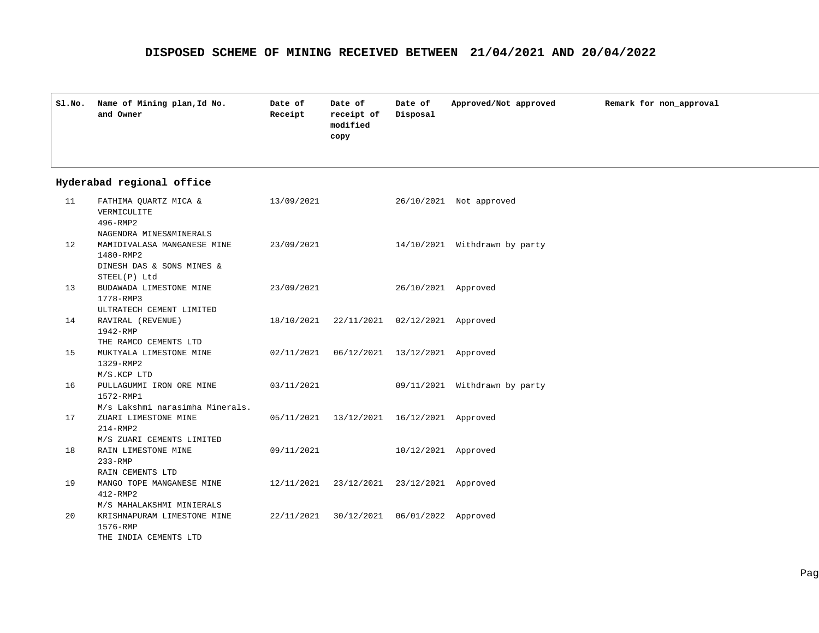| SI.NO. | Name of Mining plan, Id No.<br>and Owner | Date of<br>Receipt | Date of<br>receipt of<br>modified<br>copy | Date of<br>Disposal | Approved/Not approved | Remark for non_approval |
|--------|------------------------------------------|--------------------|-------------------------------------------|---------------------|-----------------------|-------------------------|
|        |                                          |                    |                                           |                     |                       |                         |

| 11 | FATHIMA OUARTZ MICA &<br>VERMICULITE<br>496-RMP2                                                            | 13/09/2021            |                                              |                     | 26/10/2021 Not approved       |
|----|-------------------------------------------------------------------------------------------------------------|-----------------------|----------------------------------------------|---------------------|-------------------------------|
| 12 | NAGENDRA MINES&MINERALS<br>MAMIDIVALASA MANGANESE MINE 23/09/2021<br>1480-RMP2<br>DINESH DAS & SONS MINES & |                       |                                              |                     | 14/10/2021 Withdrawn by party |
| 13 | STEEL(P) Ltd<br>BUDAWADA LIMESTONE MINE<br>1778-RMP3                                                        | 23/09/2021            |                                              | 26/10/2021 Approved |                               |
| 14 | ULTRATECH CEMENT LIMITED<br>RAVIRAL (REVENUE)<br>1942-RMP                                                   |                       | 18/10/2021 22/11/2021 02/12/2021 Approved    |                     |                               |
| 15 | THE RAMCO CEMENTS LTD<br>MUKTYALA LIMESTONE MINE<br>1329-RMP2                                               |                       | 02/11/2021  06/12/2021  13/12/2021  Approved |                     |                               |
| 16 | M/S.KCP LTD<br>PULLAGUMMI IRON ORE MINE 03/11/2021<br>1572-RMP1                                             |                       |                                              |                     | 09/11/2021 Withdrawn by party |
| 17 | M/s Lakshmi narasimha Minerals.<br>ZUARI LIMESTONE MINE<br>$214 - RMP2$                                     |                       | 05/11/2021  13/12/2021  16/12/2021  Approved |                     |                               |
| 18 | M/S ZUARI CEMENTS LIMITED<br>RAIN LIMESTONE MINE<br>$233 - RMP$                                             | 09/11/2021            |                                              | 10/12/2021 Approved |                               |
| 19 | RAIN CEMENTS LTD<br>MANGO TOPE MANGANESE MINE<br>$412 - RMP2$                                               |                       | 12/11/2021 23/12/2021 23/12/2021 Approved    |                     |                               |
| 20 | M/S MAHALAKSHMI MINIERALS<br>KRISHNAPURAM LIMESTONE MINE<br>1576-RMP                                        | 22/11/2021 30/12/2021 |                                              | 06/01/2022 Approved |                               |
|    | THE INDIA CEMENTS LTD                                                                                       |                       |                                              |                     |                               |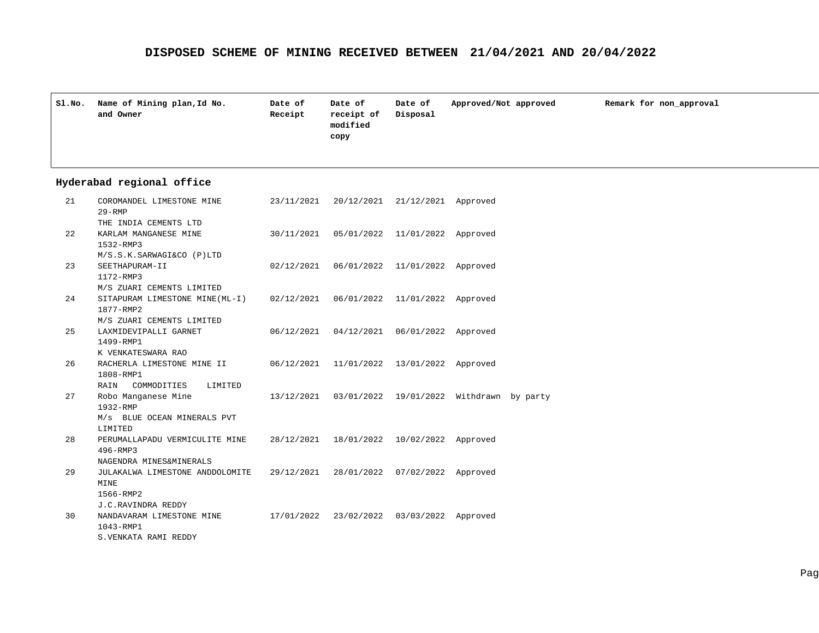| Sl.No. | Name of Mining plan, Id No.<br>and Owner | Date of<br>Receipt | Date of<br>receipt of<br>modified<br>copy | Date of<br>Disposal | Approved/Not approved | Remark for non_approval |
|--------|------------------------------------------|--------------------|-------------------------------------------|---------------------|-----------------------|-------------------------|
|        |                                          |                    |                                           |                     |                       |                         |

| 21 | COROMANDEL LIMESTONE MINE<br>$29 - RMP$   |            | 23/11/2021 20/12/2021 21/12/2021 Approved |                                |                    |  |
|----|-------------------------------------------|------------|-------------------------------------------|--------------------------------|--------------------|--|
|    | THE INDIA CEMENTS LTD                     |            |                                           |                                |                    |  |
| 22 | KARLAM MANGANESE MINE                     | 30/11/2021 |                                           | 05/01/2022 11/01/2022 Approved |                    |  |
|    | 1532-RMP3                                 |            |                                           |                                |                    |  |
|    | M/S.S.K.SARWAGI&CO (P)LTD                 |            |                                           |                                |                    |  |
| 23 | SEETHAPURAM-II                            | 02/12/2021 |                                           | 06/01/2022 11/01/2022 Approved |                    |  |
|    | 1172-RMP3                                 |            |                                           |                                |                    |  |
|    | M/S ZUARI CEMENTS LIMITED                 |            |                                           |                                |                    |  |
| 24 | SITAPURAM LIMESTONE MINE(ML-I) 02/12/2021 |            | 06/01/2022                                | 11/01/2022 Approved            |                    |  |
|    | 1877-RMP2                                 |            |                                           |                                |                    |  |
|    | M/S ZUARI CEMENTS LIMITED                 |            |                                           |                                |                    |  |
| 25 | LAXMIDEVIPALLI GARNET                     | 06/12/2021 |                                           | 04/12/2021 06/01/2022          | Approved           |  |
|    | 1499-RMP1                                 |            |                                           |                                |                    |  |
|    | K VENKATESWARA RAO                        |            |                                           |                                |                    |  |
| 26 | RACHERLA LIMESTONE MINE II                | 06/12/2021 |                                           | 11/01/2022 13/01/2022          | Approved           |  |
|    | 1808-RMP1                                 |            |                                           |                                |                    |  |
|    | RAIN<br>COMMODITIES<br>LIMITED            |            |                                           |                                |                    |  |
| 27 | Robo Manganese Mine                       | 13/12/2021 |                                           | 03/01/2022 19/01/2022          | Withdrawn by party |  |
|    | 1932-RMP                                  |            |                                           |                                |                    |  |
|    | M/s BLUE OCEAN MINERALS PVT               |            |                                           |                                |                    |  |
|    | LIMITED                                   |            |                                           |                                |                    |  |
| 28 | PERUMALLAPADU VERMICULITE MINE            | 28/12/2021 |                                           | 18/01/2022 10/02/2022 Approved |                    |  |
|    | 496-RMP3                                  |            |                                           |                                |                    |  |
|    | NAGENDRA MINES&MINERALS                   |            |                                           |                                |                    |  |
| 29 | JULAKALWA LIMESTONE ANDDOLOMITE           | 29/12/2021 |                                           | 28/01/2022 07/02/2022 Approved |                    |  |
|    | MINE                                      |            |                                           |                                |                    |  |
|    | 1566-RMP2                                 |            |                                           |                                |                    |  |
|    | J.C.RAVINDRA REDDY                        |            |                                           |                                |                    |  |
| 30 | NANDAVARAM LIMESTONE MINE                 |            | 17/01/2022 23/02/2022 03/03/2022          |                                | Approved           |  |
|    | 1043-RMP1                                 |            |                                           |                                |                    |  |
|    | S. VENKATA RAMI REDDY                     |            |                                           |                                |                    |  |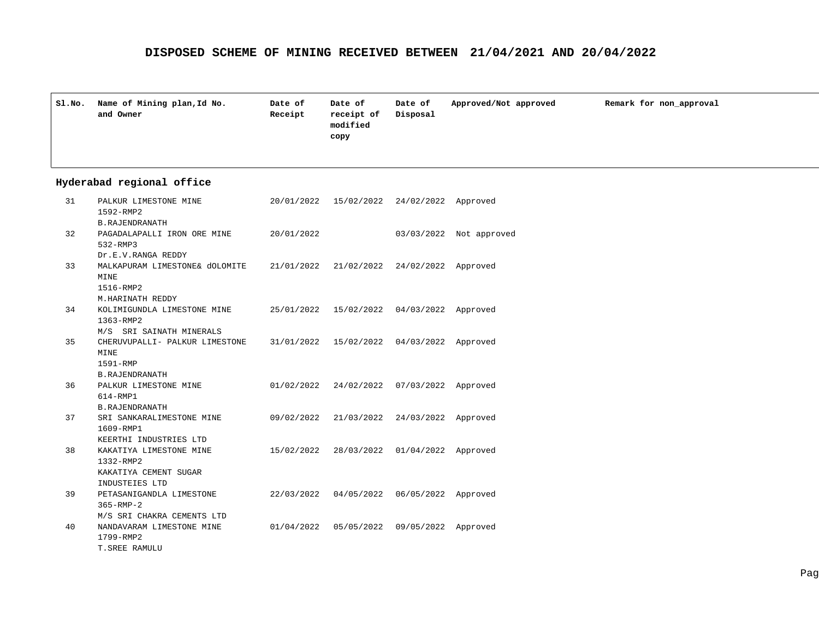| Sl.No. | Name of Mining plan, Id No.<br>and Owner | Date of<br>Receipt | Date of<br>receipt of<br>modified<br>copy | Date of<br>Disposal | Approved/Not approved | Remark for non approval |
|--------|------------------------------------------|--------------------|-------------------------------------------|---------------------|-----------------------|-------------------------|
|        |                                          |                    |                                           |                     |                       |                         |

| 31 | PALKUR LIMESTONE MINE          | 20/01/2022 | 15/02/2022                       | 24/02/2022 Approved |              |
|----|--------------------------------|------------|----------------------------------|---------------------|--------------|
|    | 1592-RMP2                      |            |                                  |                     |              |
|    | <b>B. RAJENDRANATH</b>         |            |                                  |                     |              |
| 32 | PAGADALAPALLI IRON ORE MINE    | 20/01/2022 |                                  | 03/03/2022          | Not approved |
|    | 532-RMP3                       |            |                                  |                     |              |
|    | Dr.E.V.RANGA REDDY             |            |                                  |                     |              |
| 33 | MALKAPURAM LIMESTONE& dOLOMITE |            | 21/01/2022 21/02/2022 24/02/2022 |                     | Approved     |
|    | MINE                           |            |                                  |                     |              |
|    | 1516-RMP2                      |            |                                  |                     |              |
|    | M.HARINATH REDDY               |            |                                  |                     |              |
| 34 | KOLIMIGUNDLA LIMESTONE MINE    | 25/01/2022 | 15/02/2022                       | 04/03/2022 Approved |              |
|    | 1363-RMP2                      |            |                                  |                     |              |
|    | M/S SRI SAINATH MINERALS       |            |                                  |                     |              |
| 35 | CHERUVUPALLI- PALKUR LIMESTONE |            | 31/01/2022 15/02/2022            | 04/03/2022 Approved |              |
|    | <b>MINE</b>                    |            |                                  |                     |              |
|    | 1591-RMP                       |            |                                  |                     |              |
|    | <b>B. RAJENDRANATH</b>         |            |                                  |                     |              |
| 36 | PALKUR LIMESTONE MINE          | 01/02/2022 | 24/02/2022                       | 07/03/2022 Approved |              |
|    | 614-RMP1                       |            |                                  |                     |              |
|    | <b>B. RAJENDRANATH</b>         |            |                                  |                     |              |
| 37 | SRI SANKARALIMESTONE MINE      | 09/02/2022 | 21/03/2022                       | 24/03/2022          | Approved     |
|    | 1609-RMP1                      |            |                                  |                     |              |
|    | KEERTHI INDUSTRIES LTD         |            |                                  |                     |              |
| 38 | KAKATIYA LIMESTONE MINE        | 15/02/2022 | 28/03/2022                       | 01/04/2022          | Approved     |
|    | 1332-RMP2                      |            |                                  |                     |              |
|    | KAKATIYA CEMENT SUGAR          |            |                                  |                     |              |
|    | INDUSTEIES LTD                 |            |                                  |                     |              |
| 39 | PETASANIGANDLA LIMESTONE       | 22/03/2022 | 04/05/2022                       | 06/05/2022          | Approved     |
|    | $365 - RMP - 2$                |            |                                  |                     |              |
|    | M/S SRI CHAKRA CEMENTS LTD     |            |                                  |                     |              |
| 40 | NANDAVARAM LIMESTONE MINE      | 01/04/2022 | 05/05/2022                       | 09/05/2022          | Approved     |
|    | 1799-RMP2                      |            |                                  |                     |              |
|    | T. SREE RAMULU                 |            |                                  |                     |              |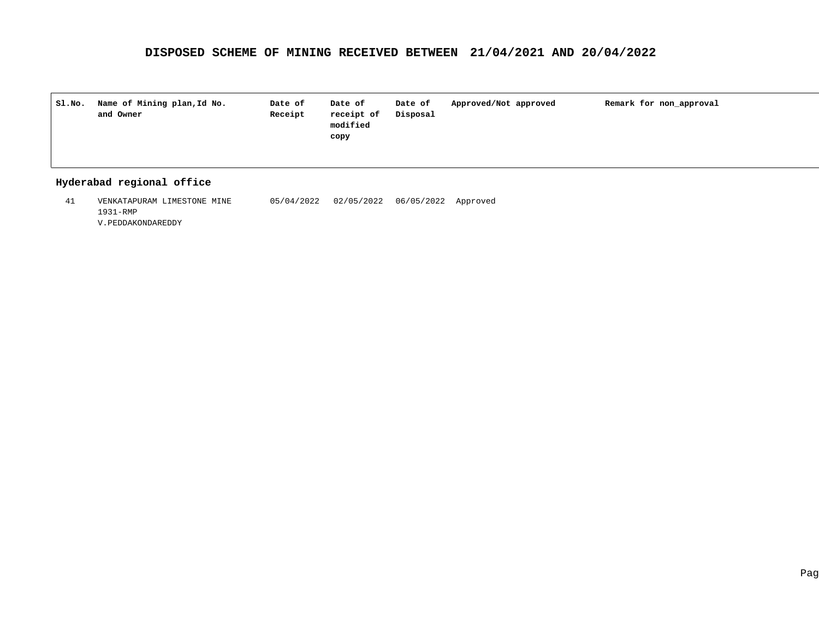| SI.NO. | Name of Mining plan, Id No.<br>and Owner | Date of<br>Receipt | Date of<br>receipt of<br>modified<br>copy | Date of<br>Disposal | Approved/Not approved | Remark for non approval |
|--------|------------------------------------------|--------------------|-------------------------------------------|---------------------|-----------------------|-------------------------|
|        |                                          |                    |                                           |                     |                       |                         |

#### **Hyderabad regional office**

VENKATAPURAM LIMESTONE MINE 41 05/04/2022 06/05/2022 Approved 02/05/20221931-RMP V.PEDDAKONDAREDDY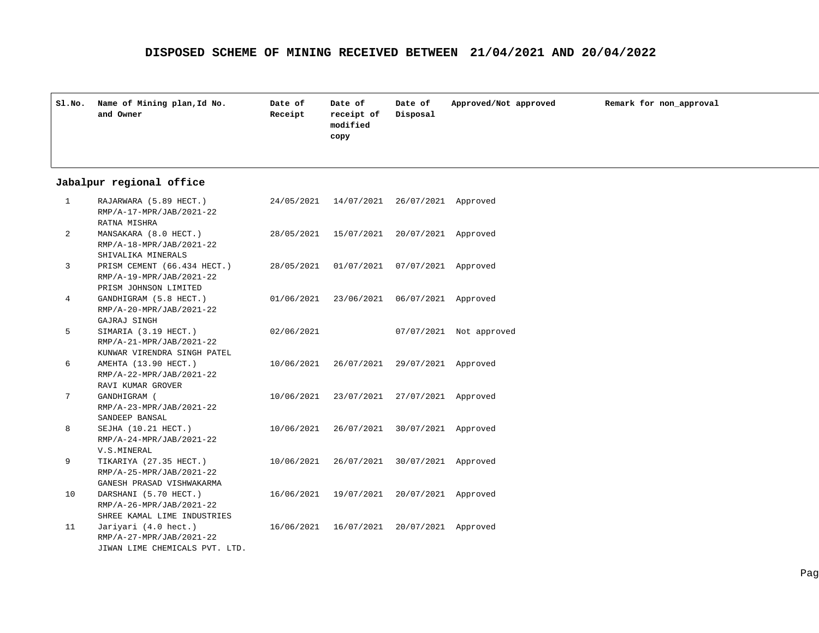| Sl.No. | Name of Mining plan, Id No.<br>and Owner | Date of<br>Receipt | Date of<br>receipt of<br>modified<br>copy | Date of<br>Disposal | Approved/Not approved | Remark for non approval |
|--------|------------------------------------------|--------------------|-------------------------------------------|---------------------|-----------------------|-------------------------|
|        |                                          |                    |                                           |                     |                       |                         |

#### **Jabalpur regional office**

| $\mathbf{1}$   | RAJARWARA (5.89 HECT.)<br>RMP/A-17-MPR/JAB/2021-22 | 24/05/2021 | 14/07/2021 | 26/07/2021 Approved |              |
|----------------|----------------------------------------------------|------------|------------|---------------------|--------------|
|                | RATNA MISHRA                                       |            |            |                     |              |
| $\overline{2}$ | MANSAKARA (8.0 HECT.)                              | 28/05/2021 | 15/07/2021 | 20/07/2021 Approved |              |
|                | RMP/A-18-MPR/JAB/2021-22                           |            |            |                     |              |
|                | SHIVALIKA MINERALS                                 |            |            |                     |              |
| 3              | PRISM CEMENT (66.434 HECT.)                        | 28/05/2021 | 01/07/2021 | 07/07/2021          | Approved     |
|                | RMP/A-19-MPR/JAB/2021-22                           |            |            |                     |              |
|                | PRISM JOHNSON LIMITED                              |            |            |                     |              |
| 4              | GANDHIGRAM (5.8 HECT.)                             | 01/06/2021 | 23/06/2021 | 06/07/2021          | Approved     |
|                | RMP/A-20-MPR/JAB/2021-22                           |            |            |                     |              |
|                | GAJRAJ SINGH                                       |            |            |                     |              |
| 5              | SIMARIA (3.19 HECT.)                               | 02/06/2021 |            | 07/07/2021          | Not approved |
|                | RMP/A-21-MPR/JAB/2021-22                           |            |            |                     |              |
|                | KUNWAR VIRENDRA SINGH PATEL                        |            |            |                     |              |
| 6              | AMEHTA (13.90 HECT.)                               | 10/06/2021 | 26/07/2021 | 29/07/2021 Approved |              |
|                | RMP/A-22-MPR/JAB/2021-22                           |            |            |                     |              |
|                | RAVI KUMAR GROVER                                  |            |            |                     |              |
| 7              | GANDHIGRAM (                                       | 10/06/2021 | 23/07/2021 | 27/07/2021 Approved |              |
|                | RMP/A-23-MPR/JAB/2021-22                           |            |            |                     |              |
|                | SANDEEP BANSAL                                     |            |            |                     |              |
| 8              | SEJHA (10.21 HECT.)                                | 10/06/2021 | 26/07/2021 | 30/07/2021 Approved |              |
|                | RMP/A-24-MPR/JAB/2021-22                           |            |            |                     |              |
|                | V.S.MINERAL                                        |            |            |                     |              |
| 9              | TIKARIYA (27.35 HECT.)                             | 10/06/2021 | 26/07/2021 | 30/07/2021          | Approved     |
|                | RMP/A-25-MPR/JAB/2021-22                           |            |            |                     |              |
|                | GANESH PRASAD VISHWAKARMA                          |            |            |                     |              |
| 10             | DARSHANI (5.70 HECT.)                              | 16/06/2021 | 19/07/2021 | 20/07/2021          | Approved     |
|                | RMP/A-26-MPR/JAB/2021-22                           |            |            |                     |              |
|                | SHREE KAMAL LIME INDUSTRIES                        |            |            |                     |              |
| 11             | Jariyari (4.0 hect.)                               | 16/06/2021 | 16/07/2021 | 20/07/2021          | Approved     |
|                | RMP/A-27-MPR/JAB/2021-22                           |            |            |                     |              |
|                | JIWAN LIME CHEMICALS PVT. LTD.                     |            |            |                     |              |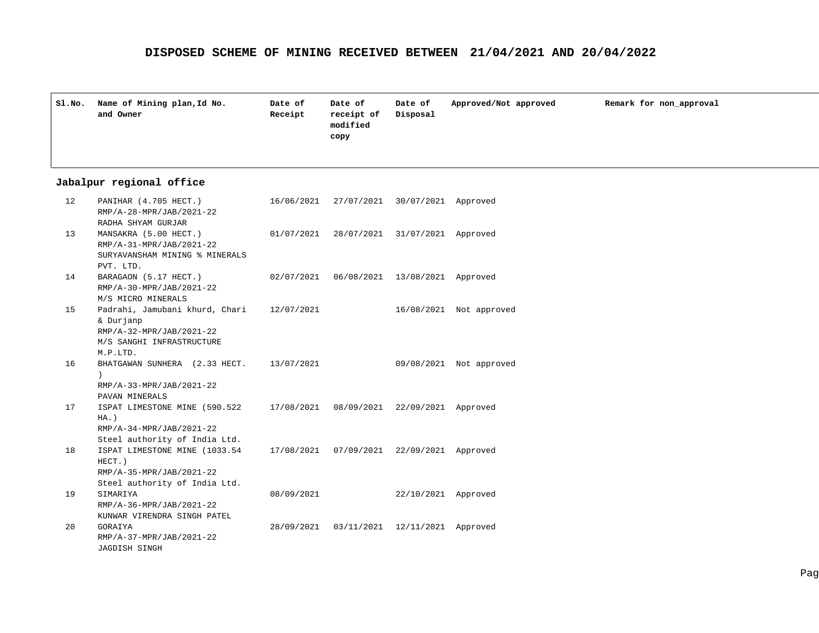| Sl.No. | Name of Mining plan, Id No.<br>and Owner | Date of<br>Receipt | Date of<br>receipt of<br>modified<br>сору | Date of<br>Disposal | Approved/Not approved | Remark for non_approval |
|--------|------------------------------------------|--------------------|-------------------------------------------|---------------------|-----------------------|-------------------------|
|        |                                          |                    |                                           |                     |                       |                         |

## **Jabalpur regional office**

| 12 | PANIHAR (4.705 HECT.)<br>RMP/A-28-MPR/JAB/2021-22 |            | 16/06/2021 27/07/2021 30/07/2021 Approved    |                       |                         |
|----|---------------------------------------------------|------------|----------------------------------------------|-----------------------|-------------------------|
| 13 | RADHA SHYAM GURJAR<br>MANSAKRA (5.00 HECT.)       |            | 01/07/2021 28/07/2021 31/07/2021 Approved    |                       |                         |
|    | RMP/A-31-MPR/JAB/2021-22                          |            |                                              |                       |                         |
|    | SURYAVANSHAM MINING % MINERALS<br>PVT. LTD.       |            |                                              |                       |                         |
| 14 | BARAGAON (5.17 HECT.)                             |            | 02/07/2021  06/08/2021  13/08/2021  Approved |                       |                         |
|    | RMP/A-30-MPR/JAB/2021-22                          |            |                                              |                       |                         |
|    | M/S MICRO MINERALS                                |            |                                              |                       |                         |
| 15 | Padrahi, Jamubani khurd, Chari                    | 12/07/2021 |                                              |                       | 16/08/2021 Not approved |
|    | & Durjanp                                         |            |                                              |                       |                         |
|    | RMP/A-32-MPR/JAB/2021-22                          |            |                                              |                       |                         |
|    | M/S SANGHI INFRASTRUCTURE                         |            |                                              |                       |                         |
|    | M.P.LTD.                                          |            |                                              |                       |                         |
| 16 | BHATGAWAN SUNHERA (2.33 HECT.                     | 13/07/2021 |                                              | 09/08/2021            | Not approved            |
|    | RMP/A-33-MPR/JAB/2021-22                          |            |                                              |                       |                         |
|    | PAVAN MINERALS                                    |            |                                              |                       |                         |
| 17 | ISPAT LIMESTONE MINE (590.522                     | 17/08/2021 |                                              | 08/09/2021 22/09/2021 | Approved                |
|    | $HA.$ )                                           |            |                                              |                       |                         |
|    | RMP/A-34-MPR/JAB/2021-22                          |            |                                              |                       |                         |
|    | Steel authority of India Ltd.                     |            |                                              |                       |                         |
| 18 | ISPAT LIMESTONE MINE (1033.54<br>HECT.)           |            | 17/08/2021  07/09/2021  22/09/2021           |                       | Approved                |
|    | RMP/A-35-MPR/JAB/2021-22                          |            |                                              |                       |                         |
|    | Steel authority of India Ltd.                     |            |                                              |                       |                         |
| 19 | SIMARIYA                                          | 08/09/2021 |                                              | 22/10/2021            | Approved                |
|    | RMP/A-36-MPR/JAB/2021-22                          |            |                                              |                       |                         |
|    | KUNWAR VIRENDRA SINGH PATEL                       |            |                                              |                       |                         |
| 20 | GORAIYA                                           | 28/09/2021 |                                              | 03/11/2021 12/11/2021 | Approved                |
|    | RMP/A-37-MPR/JAB/2021-22                          |            |                                              |                       |                         |
|    | <b>JAGDISH SINGH</b>                              |            |                                              |                       |                         |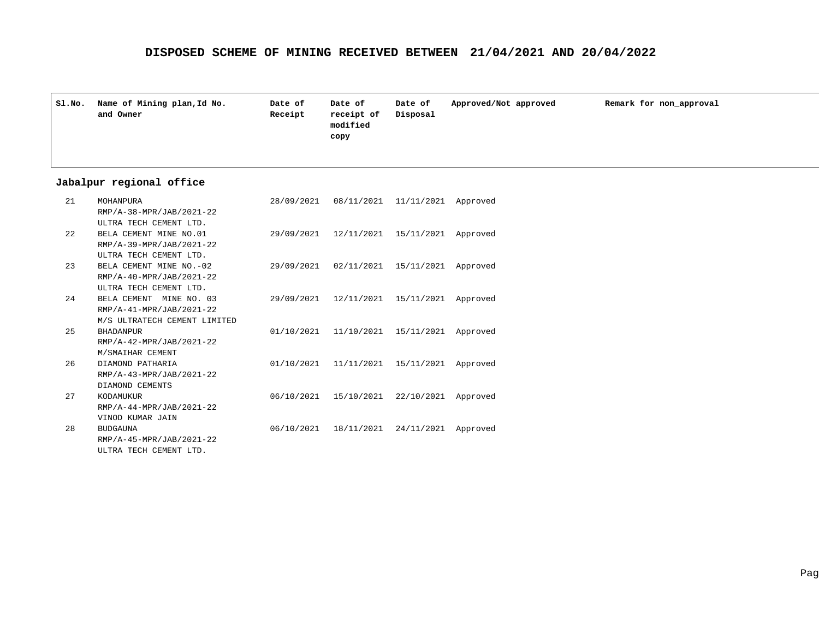| Sl.No. | Name of Mining plan, Id No.<br>and Owner | Date of<br>Receipt | Date of<br>receipt of<br>modified<br>copy | Date of<br>Disposal | Approved/Not approved | Remark for non approval |
|--------|------------------------------------------|--------------------|-------------------------------------------|---------------------|-----------------------|-------------------------|
|--------|------------------------------------------|--------------------|-------------------------------------------|---------------------|-----------------------|-------------------------|

#### **Jabalpur regional office**

| 21  | MOHANPURA                    | 28/09/2021 08/11/2021 11/11/2021             | Approved |
|-----|------------------------------|----------------------------------------------|----------|
|     | RMP/A-38-MPR/JAB/2021-22     |                                              |          |
|     | ULTRA TECH CEMENT LTD.       |                                              |          |
| 2.2 | BELA CEMENT MINE NO.01       | 29/09/2021 12/11/2021 15/11/2021 Approved    |          |
|     | RMP/A-39-MPR/JAB/2021-22     |                                              |          |
|     | ULTRA TECH CEMENT LTD.       |                                              |          |
| 23  | BELA CEMENT MINE NO. - 02    | 29/09/2021  02/11/2021  15/11/2021  Approved |          |
|     | RMP/A-40-MPR/JAB/2021-22     |                                              |          |
|     | ULTRA TECH CEMENT LTD.       |                                              |          |
| 2.4 | BELA CEMENT MINE NO. 03      | 29/09/2021 12/11/2021 15/11/2021 Approved    |          |
|     | RMP/A-41-MPR/JAB/2021-22     |                                              |          |
|     | M/S ULTRATECH CEMENT LIMITED |                                              |          |
| 2.5 | <b>BHADANPUR</b>             | 01/10/2021 11/10/2021 15/11/2021 Approved    |          |
|     | RMP/A-42-MPR/JAB/2021-22     |                                              |          |
|     | M/SMAIHAR CEMENT             |                                              |          |
| 2.6 | DIAMOND PATHARIA             | 01/10/2021 11/11/2021 15/11/2021 Approved    |          |
|     | RMP/A-43-MPR/JAB/2021-22     |                                              |          |
|     | DIAMOND CEMENTS              |                                              |          |
| 27  | KODAMUKUR                    | 06/10/2021 15/10/2021 22/10/2021 Approved    |          |
|     | RMP/A-44-MPR/JAB/2021-22     |                                              |          |
|     | VINOD KUMAR JAIN             |                                              |          |
| 28  | <b>BUDGAUNA</b>              | 06/10/2021 18/11/2021 24/11/2021 Approved    |          |
|     | RMP/A-45-MPR/JAB/2021-22     |                                              |          |
|     | ULTRA TECH CEMENT LTD.       |                                              |          |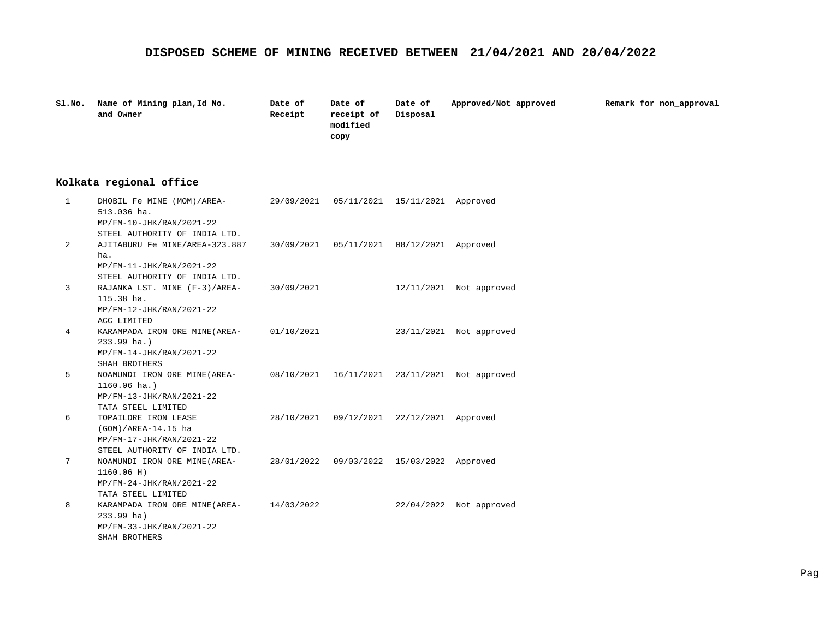| SI.NO. | Name of Mining plan, Id No.<br>and Owner | Date of<br>Receipt | Date of<br>receipt of<br>modified<br>copy | Date of<br>Disposal | Approved/Not approved | Remark for non_approval |
|--------|------------------------------------------|--------------------|-------------------------------------------|---------------------|-----------------------|-------------------------|
|        |                                          |                    |                                           |                     |                       |                         |

#### **Kolkata regional office**

| 1 | DHOBIL Fe MINE (MOM)/AREA-<br>513.036 ha.                                  | 29/09/2021  05/11/2021  15/11/2021  Approved |                         |
|---|----------------------------------------------------------------------------|----------------------------------------------|-------------------------|
|   | MP/FM-10-JHK/RAN/2021-22                                                   |                                              |                         |
|   | STEEL AUTHORITY OF INDIA LTD.                                              |                                              |                         |
| 2 | AJITABURU Fe MINE/AREA-323.887 30/09/2021 05/11/2021 08/12/2021 Approved   |                                              |                         |
|   | ha.                                                                        |                                              |                         |
|   | MP/FM-11-JHK/RAN/2021-22                                                   |                                              |                         |
|   | STEEL AUTHORITY OF INDIA LTD.                                              |                                              |                         |
| 3 | RAJANKA LST. MINE $(F-3)/AREA$ - 30/09/2021                                |                                              | 12/11/2021 Not approved |
|   | 115.38 ha.                                                                 |                                              |                         |
|   | MP/FM-12-JHK/RAN/2021-22                                                   |                                              |                         |
|   | ACC LIMITED                                                                |                                              |                         |
| 4 | KARAMPADA IRON ORE MINE(AREA- 01/10/2021                                   |                                              | 23/11/2021 Not approved |
|   | $233.99$ ha.)                                                              |                                              |                         |
|   | MP/FM-14-JHK/RAN/2021-22                                                   |                                              |                         |
|   | SHAH BROTHERS                                                              |                                              |                         |
| 5 | NOAMUNDI IRON ORE MINE(AREA- 08/10/2021 16/11/2021 23/11/2021 Not approved |                                              |                         |
|   | $1160.06$ ha.)                                                             |                                              |                         |
|   | MP/FM-13-JHK/RAN/2021-22                                                   |                                              |                         |
|   | TATA STEEL LIMITED                                                         |                                              |                         |
| 6 | TOPAILORE IRON LEASE                                                       | 28/10/2021 09/12/2021 22/12/2021 Approved    |                         |
|   | (GOM)/AREA-14.15 ha                                                        |                                              |                         |
|   | MP/FM-17-JHK/RAN/2021-22                                                   |                                              |                         |
|   | STEEL AUTHORITY OF INDIA LTD.                                              |                                              |                         |
| 7 | NOAMUNDI IRON ORE MINE(AREA-28/01/2022 09/03/2022 15/03/2022 Approved      |                                              |                         |
|   | 1160.06 H)                                                                 |                                              |                         |
|   | MP/FM-24-JHK/RAN/2021-22                                                   |                                              |                         |
|   | TATA STEEL LIMITED                                                         |                                              |                         |
| 8 | KARAMPADA IRON ORE MINE (AREA- 14/03/2022                                  |                                              | 22/04/2022 Not approved |
|   | $233.99$ ha)                                                               |                                              |                         |
|   | MP/FM-33-JHK/RAN/2021-22                                                   |                                              |                         |
|   | SHAH BROTHERS                                                              |                                              |                         |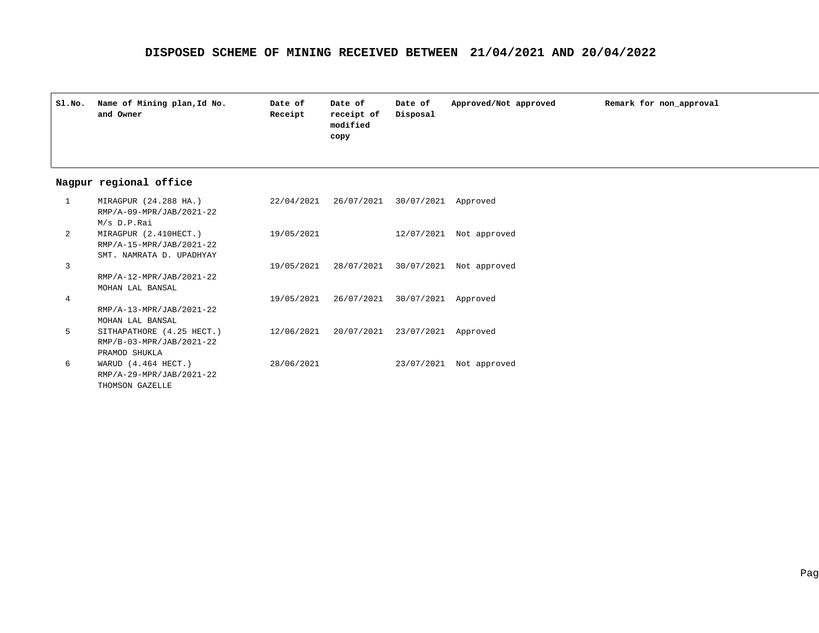| Sl.No. | Name of Mining plan, Id No.<br>and Owner | Date of<br>Receipt | Date of<br>receipt of<br>modified<br>copy | Date of<br>Disposal | Approved/Not approved | Remark for non approval |
|--------|------------------------------------------|--------------------|-------------------------------------------|---------------------|-----------------------|-------------------------|
|        |                                          |                    |                                           |                     |                       |                         |

#### **Nagpur regional office**

| $\mathbf{1}$ | MIRAGPUR (24.288 HA.)<br>RMP/A-09-MPR/JAB/2021-22 | 22/04/2021 | 26/07/2021 30/07/2021 Approved               |                                               |
|--------------|---------------------------------------------------|------------|----------------------------------------------|-----------------------------------------------|
| 2            | M/s D.P.Rai<br>MIRAGPUR (2.410HECT.)              | 19/05/2021 |                                              | $12/07/2021$ Not approved                     |
|              | RMP/A-15-MPR/JAB/2021-22                          |            |                                              |                                               |
|              | SMT. NAMRATA D. UPADHYAY                          |            |                                              |                                               |
| 3            |                                                   |            |                                              | 19/05/2021 28/07/2021 30/07/2021 Not approved |
|              | RMP/A-12-MPR/JAB/2021-22                          |            |                                              |                                               |
|              | MOHAN LAL BANSAL                                  |            |                                              |                                               |
| 4            |                                                   |            | 19/05/2021  26/07/2021  30/07/2021  Approved |                                               |
|              | RMP/A-13-MPR/JAB/2021-22                          |            |                                              |                                               |
|              | MOHAN LAL BANSAL                                  |            |                                              |                                               |
| 5            | SITHAPATHORE (4.25 HECT.)                         |            | 12/06/2021 20/07/2021 23/07/2021 Approved    |                                               |
|              | RMP/B-03-MPR/JAB/2021-22                          |            |                                              |                                               |
|              | PRAMOD SHUKLA                                     |            |                                              |                                               |
| 6            | WARUD (4.464 HECT.)                               | 28/06/2021 |                                              | 23/07/2021 Not approved                       |
|              | RMP/A-29-MPR/JAB/2021-22                          |            |                                              |                                               |
|              | THOMSON GAZELLE                                   |            |                                              |                                               |
|              |                                                   |            |                                              |                                               |